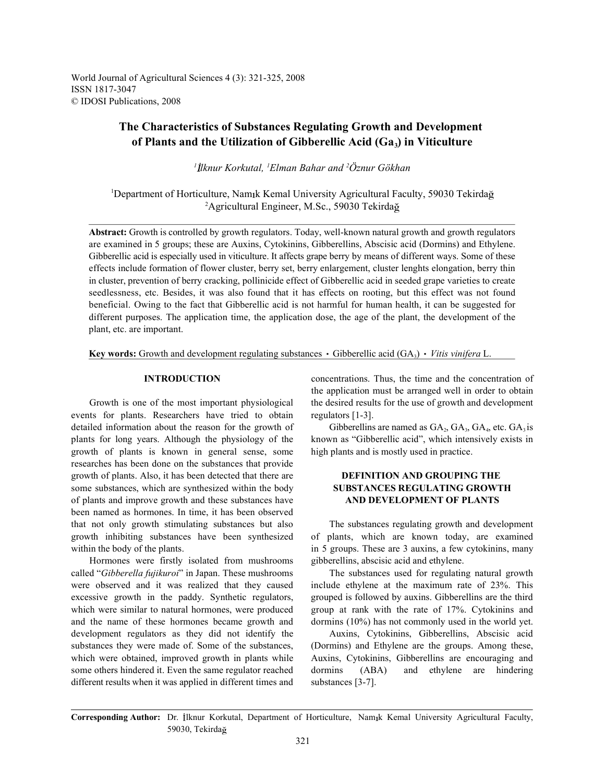World Journal of Agricultural Sciences 4 (3): 321-325, 2008 ISSN 1817-3047 © IDOSI Publications, 2008

# **The Characteristics of Substances Regulating Growth and Development of Plants and the Utilization of Gibberellic Acid (Ga ) in Viticulture <sup>3</sup>**

<sup>1</sup> İlknur Korkutal, <sup>1</sup> Elman Bahar and <sup>2</sup> Öznur Gökhan

<sup>1</sup>Department of Horticulture, Namık Kemal University Agricultural Faculty, 59030 Tekirdağ <sup>2</sup>Agricultural Engineer, M.Sc., 59030 Tekirdağ

**Abstract:** Growth is controlled by growth regulators. Today, well-known natural growth and growth regulators are examined in 5 groups; these are Auxins, Cytokinins, Gibberellins, Abscisic acid (Dormins) and Ethylene. Gibberellic acid is especially used in viticulture. It affects grape berry by means of different ways. Some of these effects include formation of flower cluster, berry set, berry enlargement, cluster lenghts elongation, berry thin in cluster, prevention of berry cracking, pollinicide effect of Gibberellic acid in seeded grape varieties to create seedlessness, etc. Besides, it was also found that it has effects on rooting, but this effect was not found beneficial. Owing to the fact that Gibberellic acid is not harmful for human health, it can be suggested for different purposes. The application time, the application dose, the age of the plant, the development of the plant, etc. are important.

**Key words:** Growth and development regulating substances  $\cdot$  Gibberellic acid (GA<sub>3</sub>)  $\cdot$  Vitis vinifera L.

events for plants. Researchers have tried to obtain regulators [1-3]. detailed information about the reason for the growth of Gibberellins are named as  $GA_2$ ,  $GA_3$ ,  $GA_4$ , etc.  $GA_3$  is plants for long years. Although the physiology of the known as "Gibberellic acid", which intensively exists in growth of plants is known in general sense, some high plants and is mostly used in practice. researches has been done on the substances that provide growth of plants. Also, it has been detected that there are **DEFINITION AND GROUPING THE**  some substances, which are synthesized within the body **SUBSTANCES REGULATING GROWTH** of plants and improve growth and these substances have **AND DEVELOPMENT OF PLANTS** been named as hormones. In time, it has been observed that not only growth stimulating substances but also The substances regulating growth and development growth inhibiting substances have been synthesized of plants, which are known today, are examined

Hormones were firstly isolated from mushrooms gibberellins, abscisic acid and ethylene. called "*Gibberella fujikuroi*" in Japan. These mushrooms The substances used for regulating natural growth were observed and it was realized that they caused include ethylene at the maximum rate of 23%. This excessive growth in the paddy. Synthetic regulators, grouped is followed by auxins. Gibberellins are the third which were similar to natural hormones, were produced group at rank with the rate of 17%. Cytokinins and and the name of these hormones became growth and dormins (10%) has not commonly used in the world yet. development regulators as they did not identify the Auxins, Cytokinins, Gibberellins, Abscisic acid substances they were made of. Some of the substances, (Dormins) and Ethylene are the groups. Among these, which were obtained, improved growth in plants while Auxins, Cytokinins, Gibberellins are encouraging and some others hindered it. Even the same regulator reached dormins (ABA) and ethylene are hindering different results when it was applied in different times and substances [3-7].

**INTRODUCTION** concentrations. Thus, the time and the concentration of Growth is one of the most important physiological the desired results for the use of growth and development the application must be arranged well in order to obtain

within the body of the plants. in 5 groups. These are 3 auxins, a few cytokinins, many

Corresponding Author: Dr. İlknur Korkutal, Department of Horticulture, Namık Kemal University Agricultural Faculty, 59030, Tekirda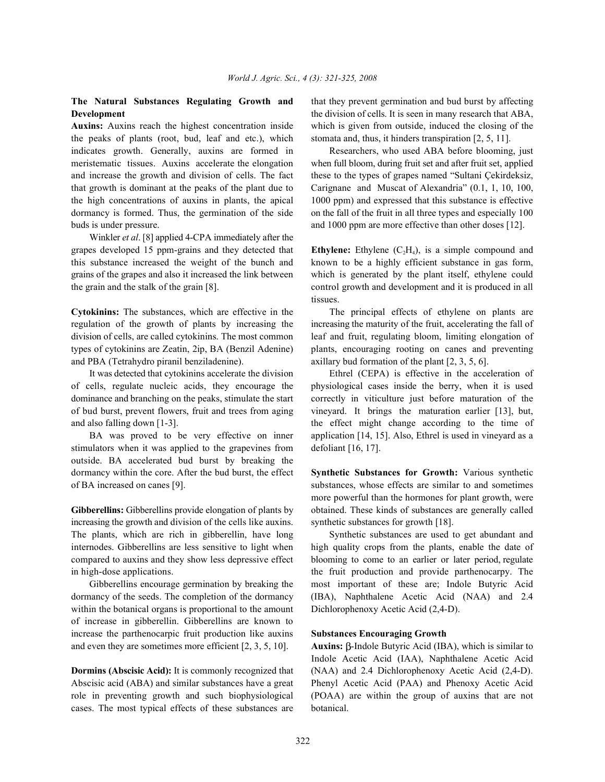the peaks of plants (root, bud, leaf and etc.), which stomata and, thus, it hinders transpiration [2, 5, 11]. indicates growth. Generally, auxins are formed in Researchers, who used ABA before blooming, just meristematic tissues. Auxins accelerate the elongation when full bloom, during fruit set and after fruit set, applied and increase the growth and division of cells. The fact these to the types of grapes named "Sultani Çekirdeksiz, that growth is dominant at the peaks of the plant due to Carignane and Muscat of Alexandria" (0.1, 1, 10, 100, the high concentrations of auxins in plants, the apical 1000 ppm) and expressed that this substance is effective dormancy is formed. Thus, the germination of the side on the fall of the fruit in all three types and especially 100 buds is under pressure. and 1000 ppm are more effective than other doses [12].

Winkler *et al*. [8] applied 4-CPA immediately after the grapes developed 15 ppm-grains and they detected that **Ethylene:** Ethylene  $(C_2H_4)$ , is a simple compound and this substance increased the weight of the bunch and known to be a highly efficient substance in gas form, grains of the grapes and also it increased the link between which is generated by the plant itself, ethylene could the grain and the stalk of the grain [8]. control growth and development and it is produced in all

**Cytokinins:** The substances, which are effective in the The principal effects of ethylene on plants are regulation of the growth of plants by increasing the increasing the maturity of the fruit, accelerating the fall of division of cells, are called cytokinins. The most common leaf and fruit, regulating bloom, limiting elongation of types of cytokinins are Zeatin, 2ip, BA (Benzil Adenine) plants, encouraging rooting on canes and preventing and PBA (Tetrahydro piranil benziladenine). axillary bud formation of the plant [2, 3, 5, 6].

of cells, regulate nucleic acids, they encourage the physiological cases inside the berry, when it is used dominance and branching on the peaks, stimulate the start correctly in viticulture just before maturation of the of bud burst, prevent flowers, fruit and trees from aging vineyard. It brings the maturation earlier [13], but,

stimulators when it was applied to the grapevines from defoliant [16, 17]. outside. BA accelerated bud burst by breaking the dormancy within the core. After the bud burst, the effect **Synthetic Substances for Growth:** Various synthetic of BA increased on canes [9]. substances, whose effects are similar to and sometimes

increasing the growth and division of the cells like auxins. synthetic substances for growth [18]. The plants, which are rich in gibberellin, have long Synthetic substances are used to get abundant and internodes. Gibberellins are less sensitive to light when high quality crops from the plants, enable the date of compared to auxins and they show less depressive effect blooming to come to an earlier or later period, regulate in high-dose applications. the fruit production and provide parthenocarpy. The

dormancy of the seeds. The completion of the dormancy (IBA), Naphthalene Acetic Acid (NAA) and 2.4 within the botanical organs is proportional to the amount Dichlorophenoxy Acetic Acid (2,4-D). of increase in gibberellin. Gibberellins are known to increase the parthenocarpic fruit production like auxins **Substances Encouraging Growth** and even they are sometimes more efficient  $[2, 3, 5, 10]$ . **Auxins:**  $\beta$ -Indole Butyric Acid (IBA), which is similar to

Abscisic acid (ABA) and similar substances have a great Phenyl Acetic Acid (PAA) and Phenoxy Acetic Acid role in preventing growth and such biophysiological (POAA) are within the group of auxins that are not cases. The most typical effects of these substances are botanical.

**The Natural Substances Regulating Growth and** that they prevent germination and bud burst by affecting **Development** the division of cells. It is seen in many research that ABA, **Auxins:** Auxins reach the highest concentration inside which is given from outside, induced the closing of the

tissues.

It was detected that cytokinins accelerate the division Ethrel (CEPA) is effective in the acceleration of and also falling down [1-3]. the effect might change according to the time of BA was proved to be very effective on inner application [14, 15]. Also, Ethrel is used in vineyard as a

**Gibberellins:** Gibberellins provide elongation of plants by obtained. These kinds of substances are generally called more powerful than the hormones for plant growth, were

Gibberellins encourage germination by breaking the most important of these are; Indole Butyric Acid

**Dormins (Abscisic Acid):** It is commonly recognized that (NAA) and 2.4 Dichlorophenoxy Acetic Acid (2,4-D). Indole Acetic Acid (IAA), Naphthalene Acetic Acid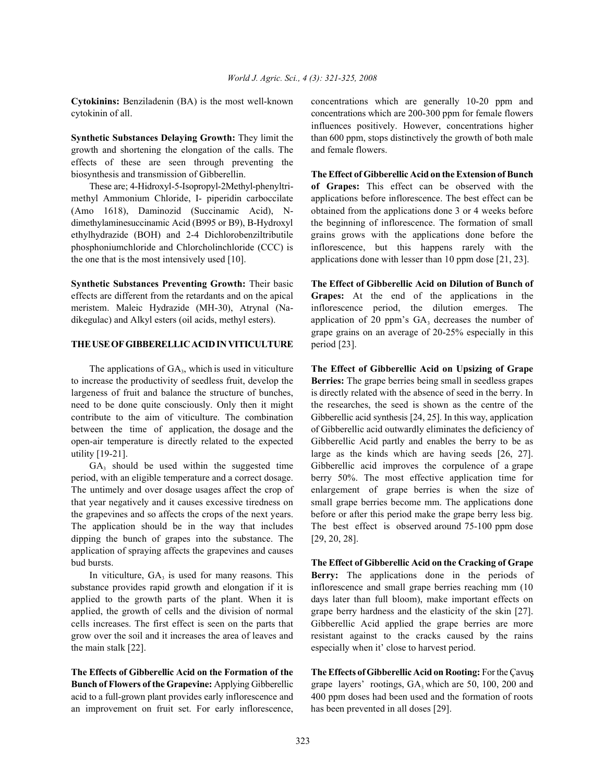growth and shortening the elongation of the calls. The and female flowers. effects of these are seen through preventing the biosynthesis and transmission of Gibberellin. **The Effect of Gibberellic Acid on the Extension of Bunch**

methyl Ammonium Chloride, I- piperidin carboccilate applications before inflorescence. The best effect can be (Amo 1618), Daminozid (Succinamic Acid), N- obtained from the applications done 3 or 4 weeks before dimethylaminesuccinamic Acid (B995 or B9), B-Hydroxyl the beginning of inflorescence. The formation of small ethylhydrazide (BOH) and 2-4 Dichlorobenziltributile grains grows with the applications done before the phosphoniumchloride and Chlorcholinchloride (CCC) is inflorescence, but this happens rarely with the the one that is the most intensively used [10]. applications done with lesser than 10 ppm dose [21, 23].

**Synthetic Substances Preventing Growth:** Their basic **The Effect of Gibberellic Acid on Dilution of Bunch of** effects are different from the retardants and on the apical **Grapes:** At the end of the applications in the meristem. Maleic Hydrazide (MH-30), Atrynal (Na- inflorescence period, the dilution emerges. The

## THE USE OF GIBBERELLIC ACID IN VITICULTURE period [23].

to increase the productivity of seedless fruit, develop the **Berries:** The grape berries being small in seedless grapes largeness of fruit and balance the structure of bunches, is directly related with the absence of seed in the berry. In need to be done quite consciously. Only then it might the researches, the seed is shown as the centre of the contribute to the aim of viticulture. The combination Gibberellic acid synthesis [24, 25]. In this way, application open-air temperature is directly related to the expected Gibberellic Acid partly and enables the berry to be as

period, with an eligible temperature and a correct dosage. berry 50%. The most effective application time for that year negatively and it causes excessive tiredness on small grape berries become mm. The applications done the grapevines and so affects the crops of the next years. before or after this period make the grape berry less big. The application should be in the way that includes The best effect is observed around 75-100 ppm dose dipping the bunch of grapes into the substance. The [29, 20, 28]. application of spraying affects the grapevines and causes bud bursts. **The Effect of Gibberellic Acid on the Cracking of Grape**

grow over the soil and it increases the area of leaves and resistant against to the cracks caused by the rains the main stalk [22]. especially when it' close to harvest period.

**The Effects of Gibberellic Acid on the Formation of the The Effects of Gibberellic Acid on Rooting:** For the Çavu **Bunch of Flowers of the Grapevine:** Applying Gibberellic grape layers' rootings, GA<sub>3</sub> which are 50, 100, 200 and acid to a full-grown plant provides early inflorescence and 400 ppm doses had been used and the formation of roots an improvement on fruit set. For early inflorescence, has been prevented in all doses [29].

**Cytokinins:** Benziladenin (BA) is the most well-known concentrations which are generally 10-20 ppm and cytokinin of all. concentrations which are 200-300 ppm for female flowers **Synthetic Substances Delaying Growth:** They limit the than 600 ppm, stops distinctively the growth of both male influences positively. However, concentrations higher

These are; 4-Hidroxyl-5-Isopropyl-2Methyl-phenyltri- **of Grapes:** This effect can be observed with the

dikegulac) and Alkyl esters (oil acids, methyl esters). application of 20 ppm's  $GA_3$  decreases the number of grape grains on an average of 20-25% especially in this

The applications of GA<sub>3</sub>, which is used in viticulture **The Effect of Gibberellic Acid on Upsizing of Grape** between the time of application, the dosage and the of Gibberellic acid outwardly eliminates the deficiency of utility [19-21]. large as the kinds which are having seeds [26, 27].  $GA_3$  should be used within the suggested time Gibberellic acid improves the corpulence of a grape The untimely and over dosage usages affect the crop of enlargement of grape berries is when the size of

In viticulture,  $GA_3$  is used for many reasons. This **Berry:** The applications done in the periods of substance provides rapid growth and elongation if it is inflorescence and small grape berries reaching mm (10) applied to the growth parts of the plant. When it is days later than full bloom), make important effects on applied, the growth of cells and the division of normal grape berry hardness and the elasticity of the skin [27]. cells increases. The first effect is seen on the parts that Gibberellic Acid applied the grape berries are more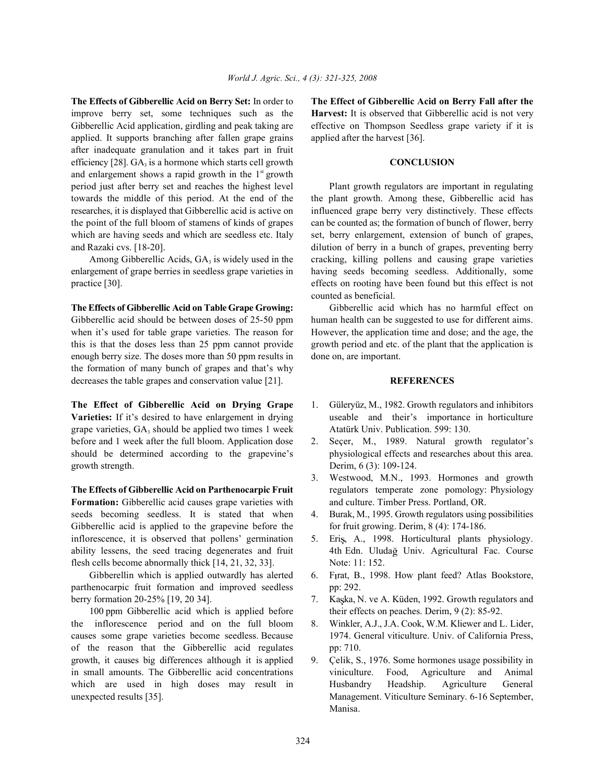improve berry set, some techniques such as the **Harvest:** It is observed that Gibberellic acid is not very Gibberellic Acid application, girdling and peak taking are effective on Thompson Seedless grape variety if it is applied. It supports branching after fallen grape grains applied after the harvest [36]. after inadequate granulation and it takes part in fruit efficiency [28]. GA<sub>3</sub> is a hormone which starts cell growth **3 CONCLUSION** and enlargement shows a rapid growth in the  $1<sup>st</sup>$  growth period just after berry set and reaches the highest level Plant growth regulators are important in regulating towards the middle of this period. At the end of the the plant growth. Among these, Gibberellic acid has researches, it is displayed that Gibberellic acid is active on influenced grape berry very distinctively. These effects the point of the full bloom of stamens of kinds of grapes can be counted as; the formation of bunch of flower, berry which are having seeds and which are seedless etc. Italy set, berry enlargement, extension of bunch of grapes, and Razaki cvs. [18-20]. dilution of berry in a bunch of grapes, preventing berry

enlargement of grape berries in seedless grape varieties in having seeds becoming seedless. Additionally, some practice [30]. effects on rooting have been found but this effect is not

**The Effects of Gibberellic Acid on Table Grape Growing:** Gibberellic acid which has no harmful effect on Gibberellic acid should be between doses of 25-50 ppm human health can be suggested to use for different aims. when it's used for table grape varieties. The reason for However, the application time and dose; and the age, the this is that the doses less than 25 ppm cannot provide growth period and etc. of the plant that the application is enough berry size. The doses more than 50 ppm results in done on, are important. the formation of many bunch of grapes and that's why decreases the table grapes and conservation value [21]. **REFERENCES**

**Varieties:** If it's desired to have enlargement in drying useable and their's importance in horticulture grape varieties, GA<sub>3</sub> should be applied two times 1 week Atatürk Univ. Publication. 599: 130. before and 1 week after the full bloom. Application dose 2. Seçer, M., 1989. Natural growth regulator's should be determined according to the grapevine's physiological effects and researches about this area. growth strength. Derim, 6 (3): 109-124.

**The Effects of Gibberellic Acid on Parthenocarpic Fruit** regulators temperate zone pomology: Physiology **Formation:** Gibberellic acid causes grape varieties with and culture. Timber Press. Portland, OR. seeds becoming seedless. It is stated that when 4. Burak, M., 1995. Growth regulators using possibilities Gibberellic acid is applied to the grapevine before the for fruit growing. Derim, 8 (4): 174-186. inflorescence, it is observed that pollens' germination 5. Eris, A., 1998. Horticultural plants physiology. ability lessens, the seed tracing degenerates and fruit 4th Edn. Uluda Univ. Agricultural Fac. Course flesh cells become abnormally thick [14, 21, 32, 33]. Note: 11: 152.

Gibberellin which is applied outwardly has alerted 6. Firat, B., 1998. How plant feed? Atlas Bookstore, parthenocarpic fruit formation and improved seedless pp: 292. berry formation 20-25% [19, 20 34]. 7. Kaska, N. ve A. Küden, 1992. Growth regulators and

100 ppm Gibberellic acid which is applied before their effects on peaches. Derim, 9 (2): 85-92. the inflorescence period and on the full bloom 8. Winkler, A.J., J.A. Cook, W.M. Kliewer and L. Lider, causes some grape varieties become seedless. Because 1974. General viticulture. Univ. of California Press, of the reason that the Gibberellic acid regulates pp: 710. growth, it causes big differences although it is applied 9. Çelik, S., 1976. Some hormones usage possibility in in small amounts. The Gibberellic acid concentrations viniculture. Food, Agriculture and Animal which are used in high doses may result in Husbandry Headship. Agriculture General unexpected results [35]. Management. Viticulture Seminary. 6-16 September,

**The Effects of Gibberellic Acid on Berry Set:** In order to **The Effect of Gibberellic Acid on Berry Fall after the**

Among Gibberellic Acids,  $GA_3$  is widely used in the cracking, killing pollens and causing grape varieties counted as beneficial.

- **The Effect of Gibberellic Acid on Drying Grape** 1. Güleryüz, M., 1982. Growth regulators and inhibitors
	-
	- 3. Westwood, M.N., 1993. Hormones and growth
	-
	-
	-
	-
	-
	- Manisa.